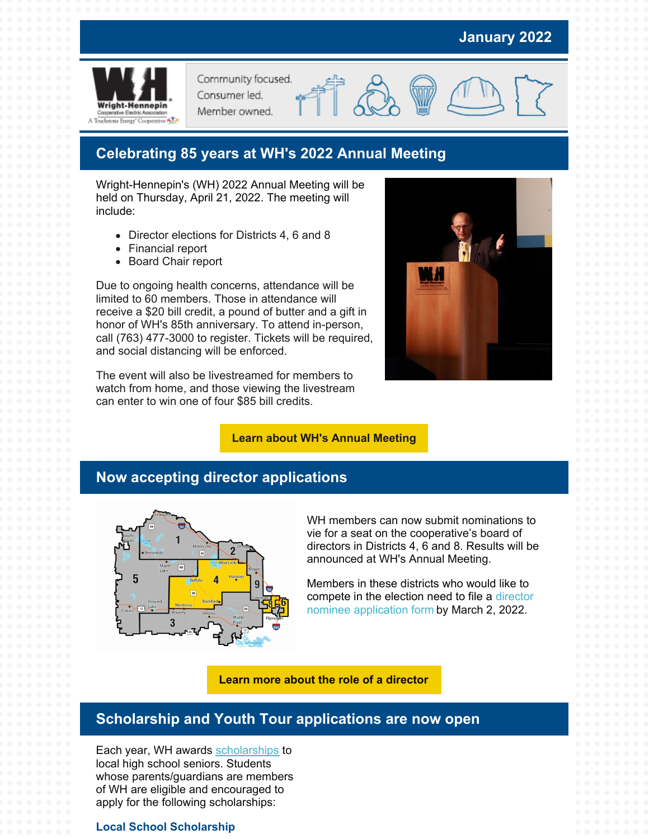# **January 2022**



Community focused. Consumer led.

Member owned.

# **Celebrating 85 years at WH's 2022 Annual Meeting**

Wright-Hennepin's (WH) 2022 Annual Meeting will be held on Thursday, April 21, 2022. The meeting will include:

- Director elections for Districts 4, 6 and 8
- Financial report
- Board Chair report

Due to ongoing health concerns, attendance will be limited to 60 members. Those in attendance will receive a \$20 bill credit, a pound of butter and a gift in honor of WH's 85th anniversary. To attend in-person, call (763) 477-3000 to register. Tickets will be required, and social distancing will be enforced.

The event will also be livestreamed for members to watch from home, and those viewing the livestream can enter to win one of four \$85 bill credits.



#### **Learn about WH's Annual [Meeting](https://www.whe.org/about/news-events/annual-meeting.html)**

## **Now accepting director applications**



WH members can now submit nominations to vie for a seat on the cooperative's board of directors in Districts 4, 6 and 8. Results will be announced at WH's Annual Meeting.

Members in these districts who would like to compete in the election need to file a director nominee [application](https://www.whe.org/about/news-events/director-elections.html) form by March 2, 2022.

**Learn more about the role of a [director](https://www.whe.org/about/news-events/director-elections.html)**

### **Scholarship and Youth Tour applications are now open**

Each year, WH awards [scholarships](https://www.whe.org/community/scholarships.html) to local high school seniors. Students whose parents/guardians are members of WH are eligible and encouraged to apply for the following scholarships:

### **Local School Scholarship**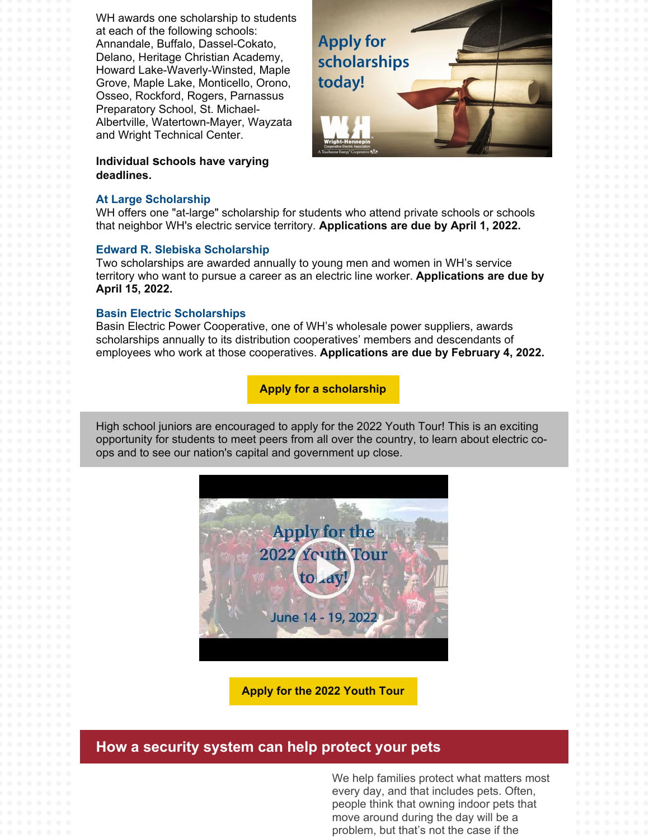WH awards one scholarship to students at each of the following schools: Annandale, Buffalo, Dassel-Cokato, Delano, Heritage Christian Academy, Howard Lake-Waverly-Winsted, Maple Grove, Maple Lake, Monticello, Orono, Osseo, Rockford, Rogers, Parnassus Preparatory School, St. Michael-Albertville, Watertown-Mayer, Wayzata and Wright Technical Center.

**Individual schools have varying deadlines.**

#### **At Large Scholarship**

**Apply for** scholarships today!

WH offers one "at-large" scholarship for students who attend private schools or schools that neighbor WH's electric service territory. **Applications are due by April 1, 2022.**

#### **Edward R. Slebiska Scholarship**

Two scholarships are awarded annually to young men and women in WH's service territory who want to pursue a career as an electric line worker. **Applications are due by April 15, 2022.**

#### **Basin Electric Scholarships**

Basin Electric Power Cooperative, one of WH's wholesale power suppliers, awards scholarships annually to its distribution cooperatives' members and descendants of employees who work at those cooperatives. **Applications are due by February 4, 2022.**

### **Apply for a [scholarship](https://www.whe.org/community/scholarships.html)**

High school juniors are encouraged to apply for the 2022 Youth Tour! This is an exciting opportunity for students to meet peers from all over the country, to learn about electric coops and to see our nation's capital and government up close.



**Apply for the 2022 [Youth](https://www.whe.org/community/youth-tour.html) Tour**

## **How a security system can help protect your pets**

We help families protect what matters most every day, and that includes pets. Often, people think that owning indoor pets that move around during the day will be a problem, but that's not the case if the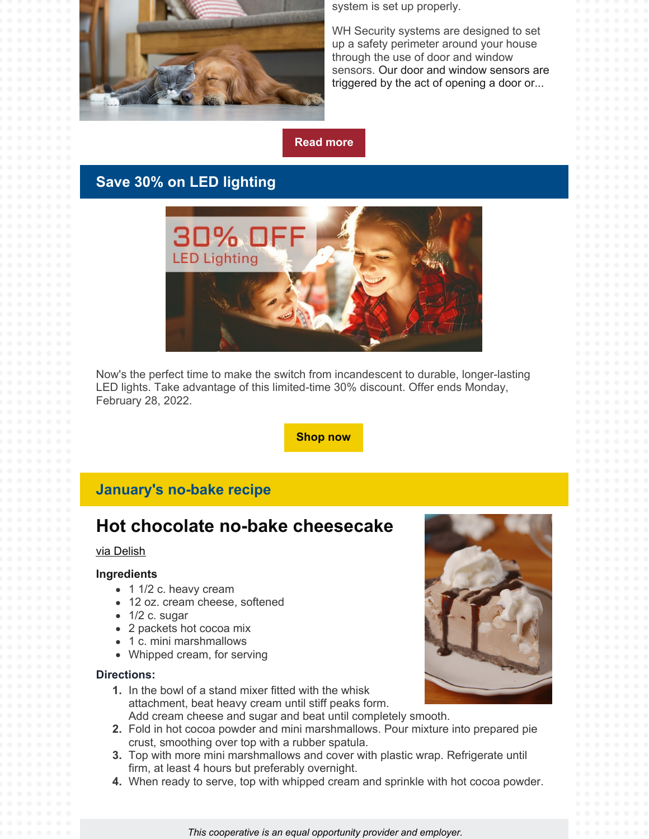

system is set up properly.

WH Security systems are designed to set up a safety perimeter around your house through the use of door and window sensors. Our door and window sensors are triggered by the act of opening a door or...



# **Save 30% on LED lighting**



Now's the perfect time to make the switch from incandescent to durable, longer-lasting LED lights. Take advantage of this limited-time 30% discount. Offer ends Monday, February 28, 2022.

### **[Shop](https://energywisemnstore.com/led-bulbs/standard-bulbs/?hsCtaTracking=91d52056-23d1-4e80-879d-e2d5822a332f%7C114f45eb-81e9-43ad-a6f8-c4adbbbd743b) now**

## **January's no-bake recipe**

# **Hot chocolate no-bake cheesecake**

#### via [Delish](https://www.delish.com/cooking/recipe-ideas/recipes/a45242/hot-chocolate-no-bake-cheesecake-recipe/)

#### **Ingredients**

- 1 1/2 c. heavy cream
- 12 oz. cream cheese, softened
- $\bullet$  1/2 c. sugar
- 2 packets hot cocoa mix
- 1 c. mini marshmallows
- Whipped cream, for serving

#### **Directions:**

- **1.** In the bowl of a stand mixer fitted with the whisk attachment, beat heavy cream until stiff peaks form. Add cream cheese and sugar and beat until completely smooth.
- **2.** Fold in hot cocoa powder and mini marshmallows. Pour mixture into prepared pie crust, smoothing over top with a rubber spatula.
- **3.** Top with more mini marshmallows and cover with plastic wrap. Refrigerate until firm, at least 4 hours but preferably overnight.
- **4.** When ready to serve, top with whipped cream and sprinkle with hot cocoa powder.



*This cooperative is an equal opportunity provider and employer.*